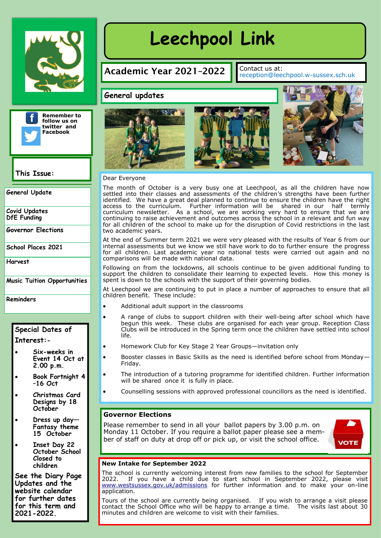



**This Issue:** 

**General Update**

**Covid Updates DfE Funding**

**Governor Elections**

**School Places 2021**

**Harvest**

**Music Tuition Opportunities**

**Reminders**

### **Special Dates of Interest:-**

- **Six-weeks in Event 14 Oct at 2.00 p.m.**
- **Book Fortnight 4 –16 Oct**
- **Christmas Card Designs by 18 October**
- **Dress up day— Fantasy theme 15 October**
- **Inset Day 22 October School Closed to children**

**See the Diary Page Updates and the website calendar for further dates for this term and 2021-2022.**

# **Leechpool Link** Leechpool Link

## Academic Year 2021-2022  $\Big|\Big|_{\text{reception@leechpool.w-sussex.sch.uk}}$

#### **General updates**







#### Dear Everyone

The month of October is a very busy one at Leechpool, as all the children have now settled into their classes and assessments of the children's strengths have been further identified. We have a great deal planned to continue to ensure the children have the right access to the curriculum. Further information will be shared in our half termly curriculum newsletter. As a school, we are working very hard to ensure that we are continuing to raise achievement and outcomes across the school in a relevant and fun way for all children of the school to make up for the disruption of Covid restrictions in the last two academic years.

At the end of Summer term 2021 we were very pleased with the results of Year 6 from our internal assessments but we know we still have work to do to further ensure the progress for all children. Last academic year no national tests were carried out again and no comparisons will be made with national data.

Following on from the lockdowns, all schools continue to be given additional funding to support the children to consolidate their learning to expected levels. How this money is spent is down to the schools with the support of their governing bodies.

At Leechpool we are continuing to put in place a number of approaches to ensure that all children benefit. These include:

- Additional adult support in the classrooms
- A range of clubs to support children with their well-being after school which have begun this week. These clubs are organised for each year group. Reception Class Clubs will be introduced in the Spring term once the children have settled into school life.
- Homework Club for Key Stage 2 Year Groups—invitation only
- Booster classes in Basic Skills as the need is identified before school from Monday— Friday.
- The introduction of a tutoring programme for identified children. Further information will be shared once it is fully in place.
- Counselling sessions with approved professional councillors as the need is identified.

#### **Governor Elections**

Please remember to send in all your ballot papers by 3.00 p.m. on Monday 11 October. If you require a ballot paper please see a member of staff on duty at drop off or pick up, or visit the school office.



#### **New Intake for September 2022**

The school is currently welcoming interest from new families to the school for September<br>2022. If you have a child due to start school in September 2022, please visit 2022, please visit [www.westsussex.gov.uk/admissions](http://www.westsussex.gov.uk/admissions) for further information and to make your on-line application.

Tours of the school are currently being organised. If you wish to arrange a visit please contact the School Office who will be happy to arrange a time. The visits last about 30 minutes and children are welcome to visit with their families.